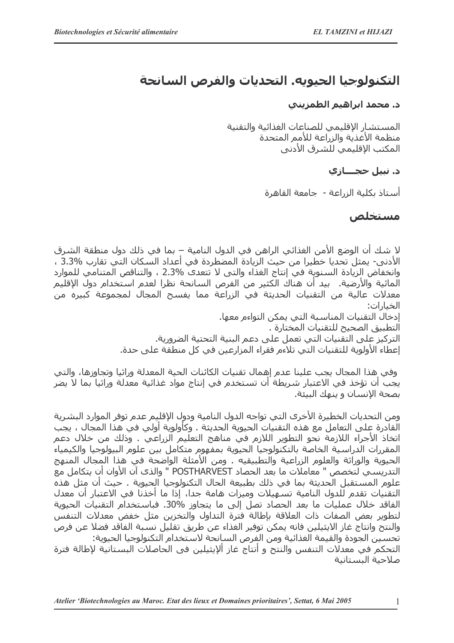## التكنولوجيا الحيويه. التحديات والفرص السانحة

## د. محمد ابراهيم الطمزيني

المستشار الإقليمي للصناعات الغذائية والتقنية منظمة الأغذية والزراعة للأمم المتحدة المكتب الإقليمي للشرق الأدني

## د. نبيل حجـــازې

أستاذ بكلية الزراعة - جامعة القاهرة

## مستخلص

لا شك أن الوضع الأمن الغذائي الراهن في الدول النامية – بما في ذلك دول منطقة الشرق الأدني- يمثل تحديا خطيرا من حيث الزيادة المضطردة في أعداد السكان التي تقارب %3.3 ، وانخفاض الزيادة السنوية في إنتاج الغذاء والتي لا تتعدى %2.3 ، والتناقص المتنامي للموارد المائية والأرضية. بيد أن هناك الكثير من الفرص السانحة نظرا لعدم استخدام دول الإقليم معدلات عالية من التقنيات الحديثة في الزراعة مما يفسح المجال لمجموعة كبيره من الخيارات: إدخال التقنيات المناسية التيي بمكن التواءم معها.

التطبيق الصحيح للتقنيات المختارة . التركيز على التقنيات التي تعمل على دعم البنية التحتية الضرورية.

إعطاء الأولوية للتقنيات التي تلاءم فقراء المزارعين في كل منطقة على حدة.

وفي هذا المجال يجب علينا عدم إهمال تقنيات الكائنات الحية المعدلة وراثيا وتجاوزها، والتي يجب أن تؤخذ في الاعتبار شريطة أن تستخدم في إنتاج مواد غذائية معدلة وراثيا بما لا يضر بصحة الانسان و بنهك البيئة.

ومن التحديات الخطيرة الأخرى التي تواجه الدول النامية ودول الإقليم عدم توفر الموارد البشرية القادرة علىي التعامل مع هذه التقنيات الحيوية الحديثة . وكأولوية أولى في هذا المجال ، يجب اتخاذ الأجراء اللازمة نحو التطوير اللازم في مناهج التعليم الزراعي . وذلك من خلال دعم المقررات الدراسية الخاصة بالتكنولوجيا الحبوبة بمفهوم متكامل بين علوم البيولوجيا والكيمياء الحيوية والوراثة والعلوم الزراعية والتطبيقيه . ومن الأمثلة الواضحة في هذا المجال المنهج التدريسـي لتخصص " معاملات ما بعد الحصاد POSTHARVEST " والذي آن الأوان أن يتكامل مع علوم المستقبل الحديثة بما في ذلك بطبيعة الحال التكنولوجيا الحبوبة . حيث أن مثل هذه التقنيات تقدم للدول النامية تسهيلات وميزات هامة جدا، إذا ما اخذنا في الاعتبار ان معدل الفاقد خلال عمليات ما بعد الحصاد تصل إلى ما يتجاوز %30. فباستخدام التقنيات الحيوية لتطوير يعض الصفات ذات العلاقة بإطالة فترة التداول والتخزين مثل خفض معدلات التنفس والنتح وانتاج غاز الايثيلين فانه يمكن توفير الغذاء عن طريق تقليل نسبة الفاقد فضلا عن فرص تحسين الجودة والقيمة الغذائية ومن الفرص السانحة لاستخدام التكنولوجيا الحيوية:

التحكم في معدلات التنفس والنتح و أنتاج غاز ألإيثيلين في الحاصلات البستانية لإطالة فترة صلاحية البستانية